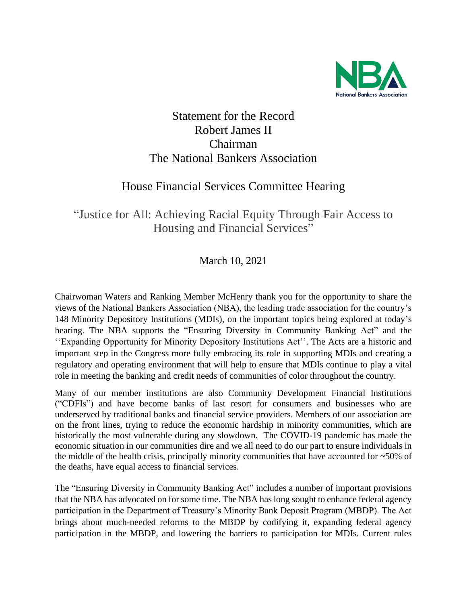

## Statement for the Record Robert James II Chairman The National Bankers Association

## House Financial Services Committee Hearing

"Justice for All: Achieving Racial Equity Through Fair Access to Housing and Financial Services"

March 10, 2021

Chairwoman Waters and Ranking Member McHenry thank you for the opportunity to share the views of the National Bankers Association (NBA), the leading trade association for the country's 148 Minority Depository Institutions (MDIs), on the important topics being explored at today's hearing. The NBA supports the "Ensuring Diversity in Community Banking Act" and the ''Expanding Opportunity for Minority Depository Institutions Act''. The Acts are a historic and important step in the Congress more fully embracing its role in supporting MDIs and creating a regulatory and operating environment that will help to ensure that MDIs continue to play a vital role in meeting the banking and credit needs of communities of color throughout the country.

Many of our member institutions are also Community Development Financial Institutions ("CDFIs") and have become banks of last resort for consumers and businesses who are underserved by traditional banks and financial service providers. Members of our association are on the front lines, trying to reduce the economic hardship in minority communities, which are historically the most vulnerable during any slowdown. The COVID-19 pandemic has made the economic situation in our communities dire and we all need to do our part to ensure individuals in the middle of the health crisis, principally minority communities that have accounted for ~50% of the deaths, have equal access to financial services.

The "Ensuring Diversity in Community Banking Act" includes a number of important provisions that the NBA has advocated on for some time. The NBA has long sought to enhance federal agency participation in the Department of Treasury's Minority Bank Deposit Program (MBDP). The Act brings about much-needed reforms to the MBDP by codifying it, expanding federal agency participation in the MBDP, and lowering the barriers to participation for MDIs. Current rules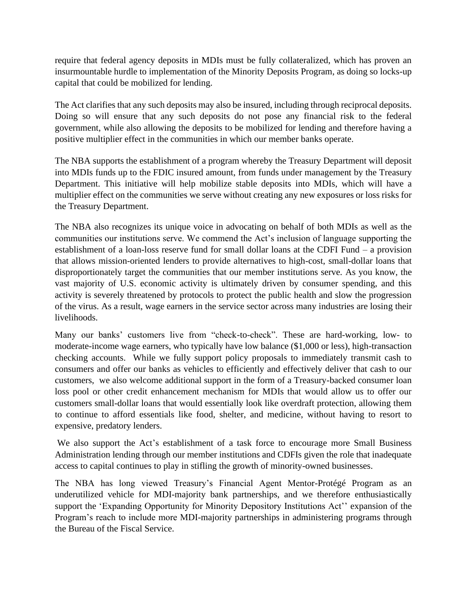require that federal agency deposits in MDIs must be fully collateralized, which has proven an insurmountable hurdle to implementation of the Minority Deposits Program, as doing so locks-up capital that could be mobilized for lending.

The Act clarifies that any such deposits may also be insured, including through reciprocal deposits. Doing so will ensure that any such deposits do not pose any financial risk to the federal government, while also allowing the deposits to be mobilized for lending and therefore having a positive multiplier effect in the communities in which our member banks operate.

The NBA supports the establishment of a program whereby the Treasury Department will deposit into MDIs funds up to the FDIC insured amount, from funds under management by the Treasury Department. This initiative will help mobilize stable deposits into MDIs, which will have a multiplier effect on the communities we serve without creating any new exposures or loss risks for the Treasury Department.

The NBA also recognizes its unique voice in advocating on behalf of both MDIs as well as the communities our institutions serve. We commend the Act's inclusion of language supporting the establishment of a loan-loss reserve fund for small dollar loans at the CDFI Fund – a provision that allows mission-oriented lenders to provide alternatives to high-cost, small-dollar loans that disproportionately target the communities that our member institutions serve. As you know, the vast majority of U.S. economic activity is ultimately driven by consumer spending, and this activity is severely threatened by protocols to protect the public health and slow the progression of the virus. As a result, wage earners in the service sector across many industries are losing their livelihoods.

Many our banks' customers live from "check-to-check". These are hard-working, low- to moderate-income wage earners, who typically have low balance (\$1,000 or less), high-transaction checking accounts. While we fully support policy proposals to immediately transmit cash to consumers and offer our banks as vehicles to efficiently and effectively deliver that cash to our customers, we also welcome additional support in the form of a Treasury-backed consumer loan loss pool or other credit enhancement mechanism for MDIs that would allow us to offer our customers small-dollar loans that would essentially look like overdraft protection, allowing them to continue to afford essentials like food, shelter, and medicine, without having to resort to expensive, predatory lenders.

We also support the Act's establishment of a task force to encourage more Small Business Administration lending through our member institutions and CDFIs given the role that inadequate access to capital continues to play in stifling the growth of minority-owned businesses.

The NBA has long viewed Treasury's Financial Agent Mentor-Protégé Program as an underutilized vehicle for MDI-majority bank partnerships, and we therefore enthusiastically support the 'Expanding Opportunity for Minority Depository Institutions Act'' expansion of the Program's reach to include more MDI-majority partnerships in administering programs through the Bureau of the Fiscal Service.